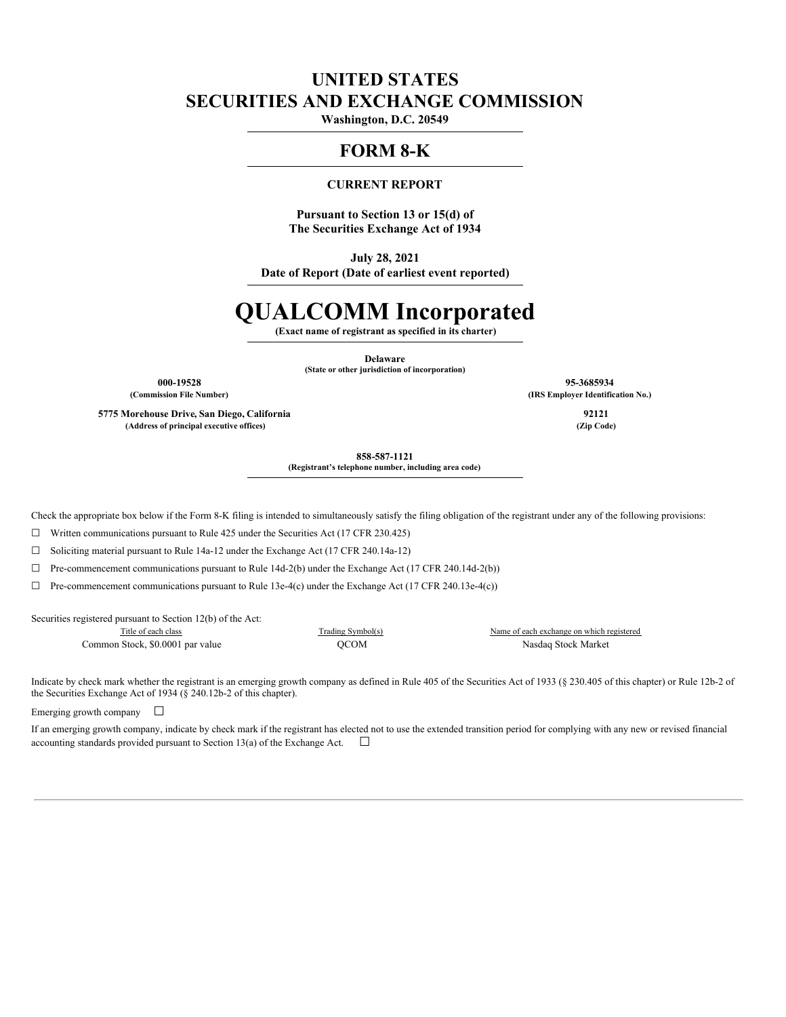# **UNITED STATES SECURITIES AND EXCHANGE COMMISSION**

**Washington, D.C. 20549**

# **FORM 8-K**

# **CURRENT REPORT**

**Pursuant to Section 13 or 15(d) of The Securities Exchange Act of 1934**

**July 28, 2021**

**Date of Report (Date of earliest event reported)**

# **QUALCOMM Incorporated**

**(Exact name of registrant as specified in its charter)**

**Delaware (State or other jurisdiction of incorporation)**

**5775 Morehouse Drive, San Diego, California 92121 (Address of principal executive offices) (Zip Code)**

**000-19528 95-3685934 (Commission File Number) (IRS Employer Identification No.)**

**858-587-1121**

**(Registrant's telephone number, including area code)**

Check the appropriate box below if the Form 8-K filing is intended to simultaneously satisfy the filing obligation of the registrant under any of the following provisions:

 $\Box$  Written communications pursuant to Rule 425 under the Securities Act (17 CFR 230.425)

☐ Soliciting material pursuant to Rule 14a-12 under the Exchange Act (17 CFR 240.14a-12)

☐ Pre-commencement communications pursuant to Rule 14d-2(b) under the Exchange Act (17 CFR 240.14d-2(b))

 $\Box$  Pre-commencement communications pursuant to Rule 13e-4(c) under the Exchange Act (17 CFR 240.13e-4(c))

Securities registered pursuant to Section 12(b) of the Act:

Common Stock, \$0.0001 par value QCOM Nasdaq Stock Market

Title of each class Trading Symbol(s) Name of each exchange on which registered

Indicate by check mark whether the registrant is an emerging growth company as defined in Rule 405 of the Securities Act of 1933 (§ 230.405 of this chapter) or Rule 12b-2 of the Securities Exchange Act of 1934 (§ 240.12b-2 of this chapter).

Emerging growth company  $\Box$ 

If an emerging growth company, indicate by check mark if the registrant has elected not to use the extended transition period for complying with any new or revised financial accounting standards provided pursuant to Section 13(a) of the Exchange Act.  $\Box$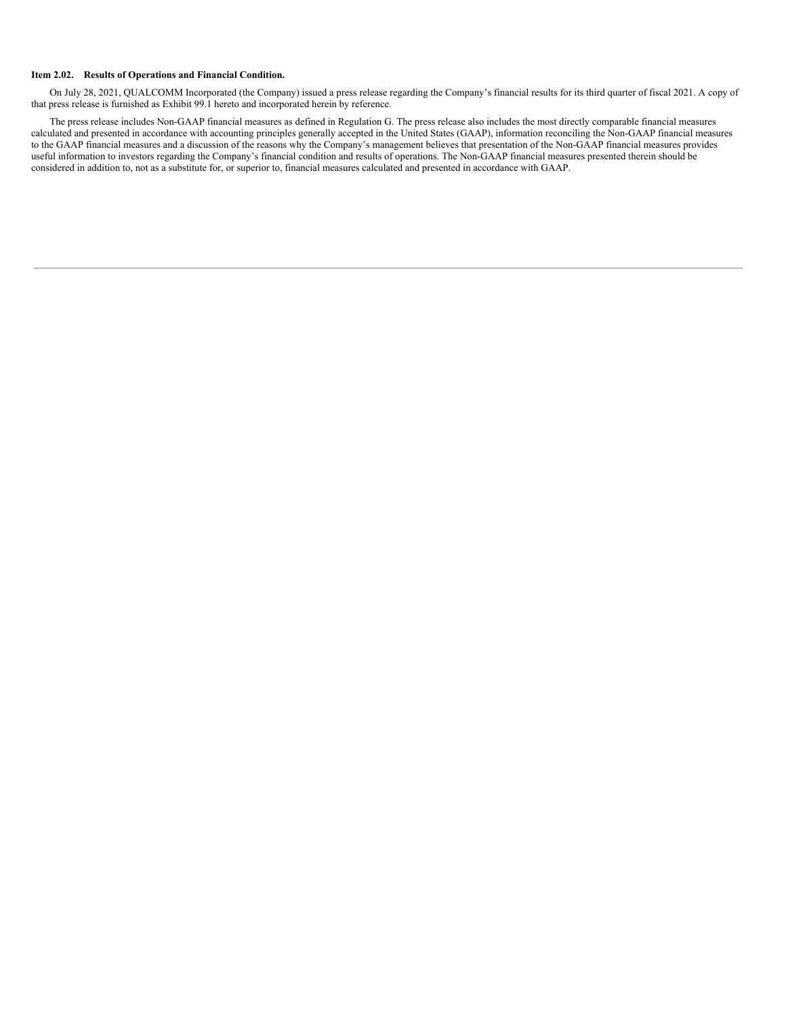#### **Item 2.02. Results of Operations and Financial Condition.**

On July 28, 2021, QUALCOMM Incorporated (the Company) issued a press release regarding the Company's financial results for its third quarter of fiscal 2021. A copy of that press release is furnished as Exhibit 99.1 hereto and incorporated herein by reference.

The press release includes Non-GAAP financial measures as defined in Regulation G. The press release also includes the most directly comparable financial measures calculated and presented in accordance with accounting principles generally accepted in the United States (GAAP), information reconciling the Non-GAAP financial measures to the GAAP financial measures and a discussion of the reasons why the Company's management believes that presentation of the Non-GAAP financial measures provides useful information to investors regarding the Company's financial condition and results of operations. The Non-GAAP financial measures presented therein should be considered in addition to, not as a substitute for, or superior to, financial measures calculated and presented in accordance with GAAP.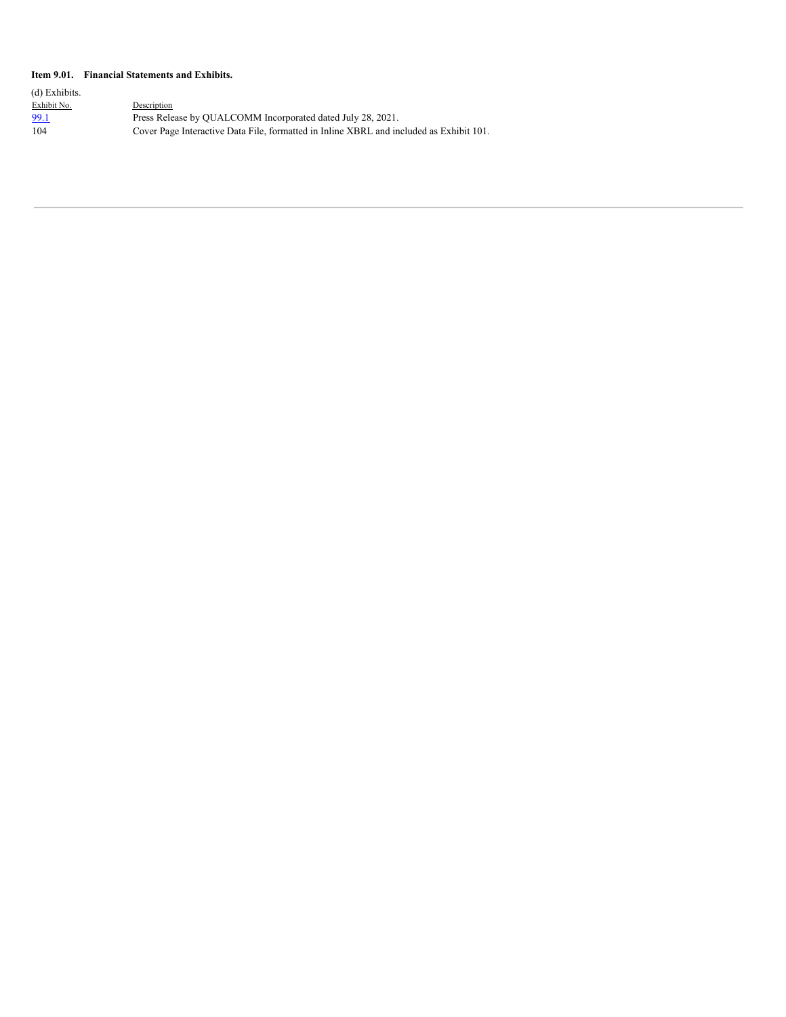#### **Item 9.01. Financial Statements and Exhibits.**

| (d) Exhibits. |                                                                                         |
|---------------|-----------------------------------------------------------------------------------------|
| Exhibit No.   | Description                                                                             |
| 99.1          | Press Release by OUALCOMM Incorporated dated July 28, 2021.                             |
| 104           | Cover Page Interactive Data File, formatted in Inline XBRL and included as Exhibit 101. |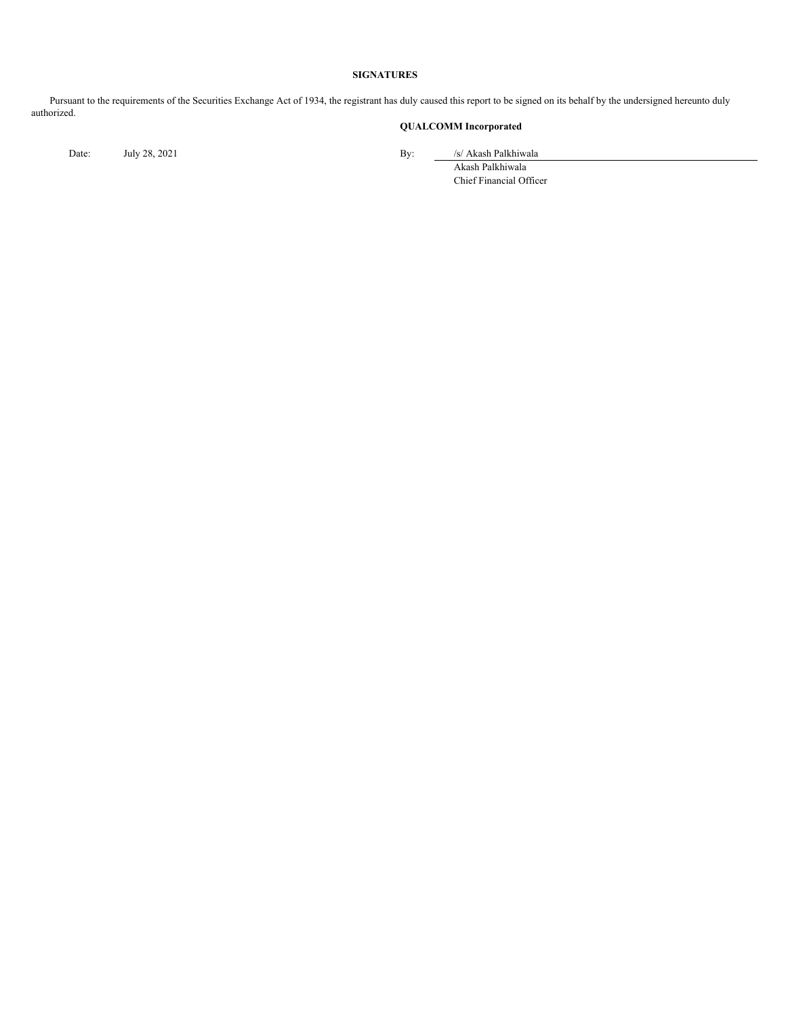#### **SIGNATURES**

Pursuant to the requirements of the Securities Exchange Act of 1934, the registrant has duly caused this report to be signed on its behalf by the undersigned hereunto duly authorized.

# **QUALCOMM Incorporated**

Date: July 28, 2021 By: /s/ Akash Palkhiwala

Akash Palkhiwala Chief Financial Officer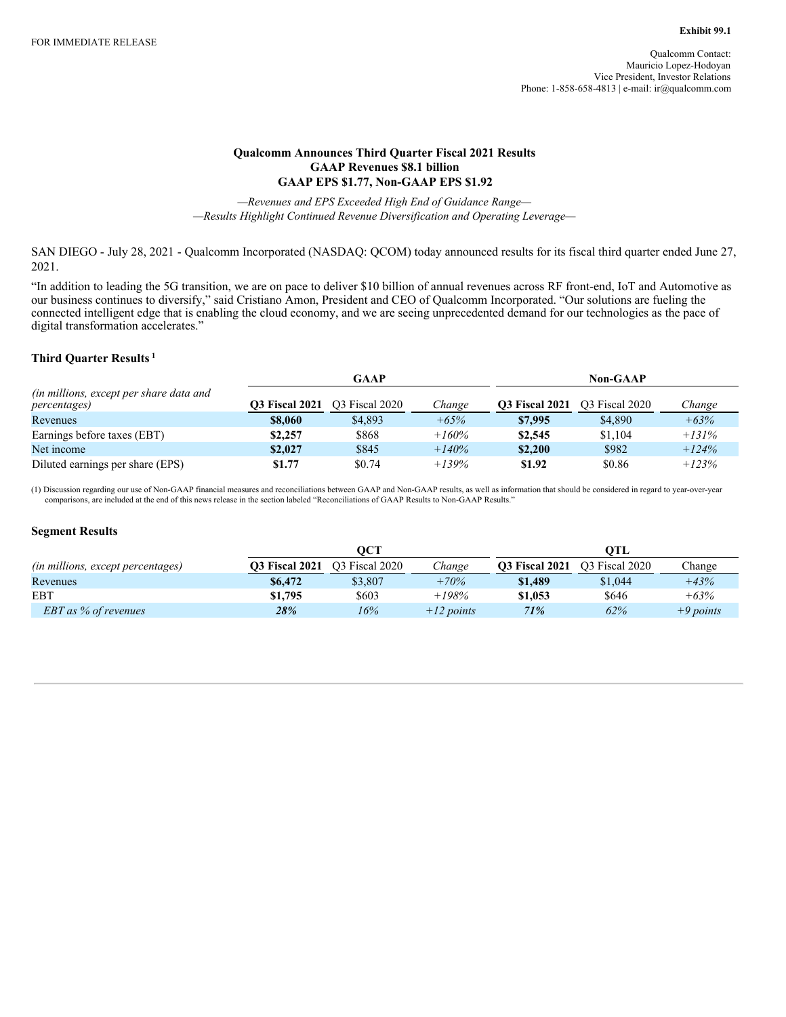# **Qualcomm Announces Third Quarter Fiscal 2021 Results GAAP Revenues \$8.1 billion GAAP EPS \$1.77, Non-GAAP EPS \$1.92**

*—Revenues and EPS Exceeded High End of Guidance Range— —Results Highlight Continued Revenue Diversification and Operating Leverage—*

SAN DIEGO - July 28, 2021 - Qualcomm Incorporated (NASDAQ: QCOM) today announced results for its fiscal third quarter ended June 27, 2021.

"In addition to leading the 5G transition, we are on pace to deliver \$10 billion of annual revenues across RF front-end, IoT and Automotive as our business continues to diversify," said Cristiano Amon, President and CEO of Qualcomm Incorporated. "Our solutions are fueling the connected intelligent edge that is enabling the cloud economy, and we are seeing unprecedented demand for our technologies as the pace of digital transformation accelerates."

# **Third Quarter Results 1**

|                                                                          |                       | GAAP           |         | <b>Non-GAAP</b>       |                |         |
|--------------------------------------------------------------------------|-----------------------|----------------|---------|-----------------------|----------------|---------|
| <i>(in millions, except per share data and</i> )<br><i>percentages</i> ) | <b>O3 Fiscal 2021</b> | O3 Fiscal 2020 | Change  | <b>Q3 Fiscal 2021</b> | O3 Fiscal 2020 | Change  |
| Revenues                                                                 | \$8,060               | \$4,893        | $+65%$  | \$7,995               | \$4,890        | $+63%$  |
| Earnings before taxes (EBT)                                              | \$2,257               | \$868          | $+160%$ | \$2,545               | \$1,104        | $+131%$ |
| Net income                                                               | \$2,027               | \$845          | $+140%$ | \$2,200               | \$982          | $+124%$ |
| Diluted earnings per share (EPS)                                         | \$1.77                | \$0.74         | $+139%$ | \$1.92                | \$0.86         | $+123%$ |

(1) Discussion regarding our use of Non-GAAP financial measures and reconciliations between GAAP and Non-GAAP results, as well as information that should be considered in regard to year-over-year comparisons, are included at the end of this news release in the section labeled "Reconciliations of GAAP Results to Non-GAAP Results."

## **Segment Results**

|                                   |                       | OCT            |              |                       | OTL            |             |
|-----------------------------------|-----------------------|----------------|--------------|-----------------------|----------------|-------------|
| (in millions, except percentages) | <b>03 Fiscal 2021</b> | O3 Fiscal 2020 | Change       | <b>O3 Fiscal 2021</b> | O3 Fiscal 2020 | Change      |
| Revenues                          | \$6,472               | \$3,807        | $+70%$       | \$1,489               | \$1,044        | $+43%$      |
| EBT                               | \$1,795               | \$603          | $+198%$      | \$1,053               | \$646          | $+63%$      |
| <b>EBT</b> as % of revenues       | 28%                   | 16%            | $+12$ points | 71%                   | 62%            | $+9$ points |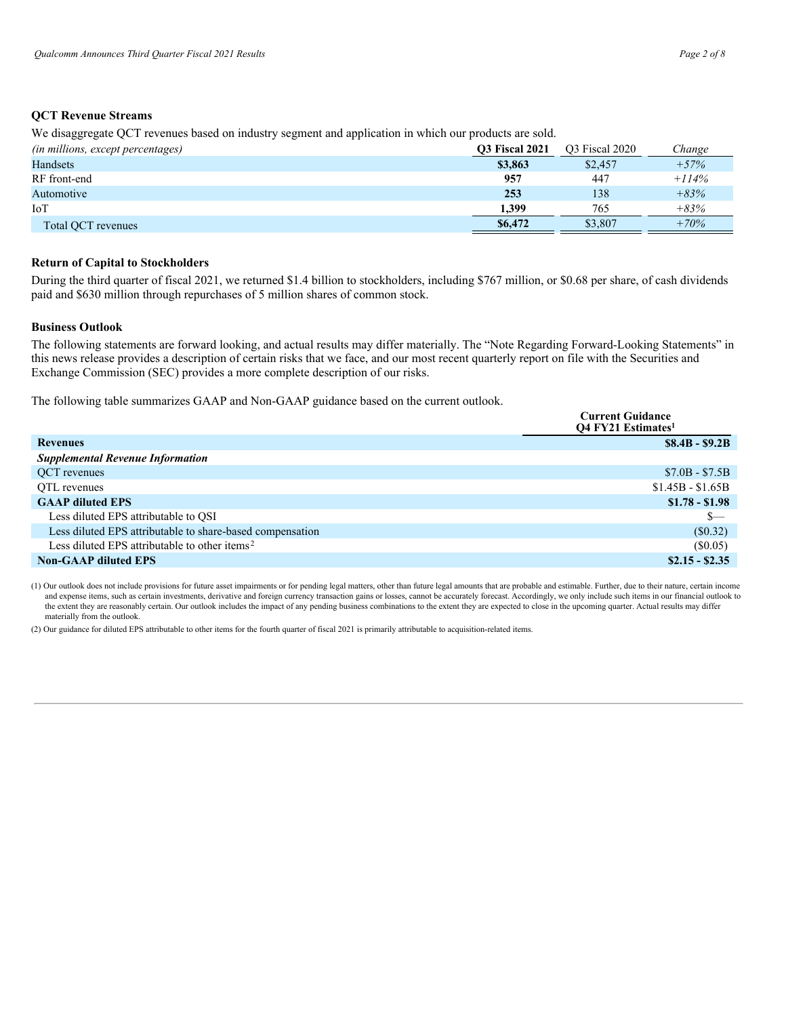## **QCT Revenue Streams**

We disaggregate QCT revenues based on industry segment and application in which our products are sold.

| (in millions, except percentages) | <b>O3 Fiscal 2021</b> | O3 Fiscal 2020 | Change  |
|-----------------------------------|-----------------------|----------------|---------|
| Handsets                          | \$3,863               | \$2,457        | $+57%$  |
| RF front-end                      | 957                   | 447            | $+114%$ |
| Automotive                        | 253                   | 138            | $+83%$  |
| IoT                               | 1,399                 | 765            | $+83%$  |
| Total OCT revenues                | \$6,472               | \$3,807        | $+70%$  |

#### **Return of Capital to Stockholders**

During the third quarter of fiscal 2021, we returned \$1.4 billion to stockholders, including \$767 million, or \$0.68 per share, of cash dividends paid and \$630 million through repurchases of 5 million shares of common stock.

#### **Business Outlook**

The following statements are forward looking, and actual results may differ materially. The "Note Regarding Forward-Looking Statements" in this news release provides a description of certain risks that we face, and our most recent quarterly report on file with the Securities and Exchange Commission (SEC) provides a more complete description of our risks.

The following table summarizes GAAP and Non-GAAP guidance based on the current outlook.

|                                                           | <b>Current Guidance</b><br><b>O4 FY21 Estimates</b> |
|-----------------------------------------------------------|-----------------------------------------------------|
| <b>Revenues</b>                                           | $$8.4B - $9.2B$                                     |
| <b>Supplemental Revenue Information</b>                   |                                                     |
| OCT revenues                                              | $$7.0B - $7.5B$                                     |
| OTL revenues                                              | $$1.45B - $1.65B$                                   |
| <b>GAAP</b> diluted EPS                                   | $$1.78 - $1.98$                                     |
| Less diluted EPS attributable to QSI                      | $s-$                                                |
| Less diluted EPS attributable to share-based compensation | $(\$0.32)$                                          |
| Less diluted EPS attributable to other items <sup>2</sup> | $(\$0.05)$                                          |
| <b>Non-GAAP diluted EPS</b>                               | $$2.15 - $2.35$                                     |

(1) Our outlook does not include provisions for future asset impairments or for pending legal matters, other than future legal amounts that are probable and estimable. Further, due to their nature, certain income and expense items, such as certain investments, derivative and foreign currency transaction gains or losses, cannot be accurately forecast. Accordingly, we only include such items in our financial outlook to the extent they are reasonably certain. Our outlook includes the impact of any pending business combinations to the extent they are expected to close in the upcoming quarter. Actual results may differ materially from the outlook.

(2) Our guidance for diluted EPS attributable to other items for the fourth quarter of fiscal 2021 is primarily attributable to acquisition-related items.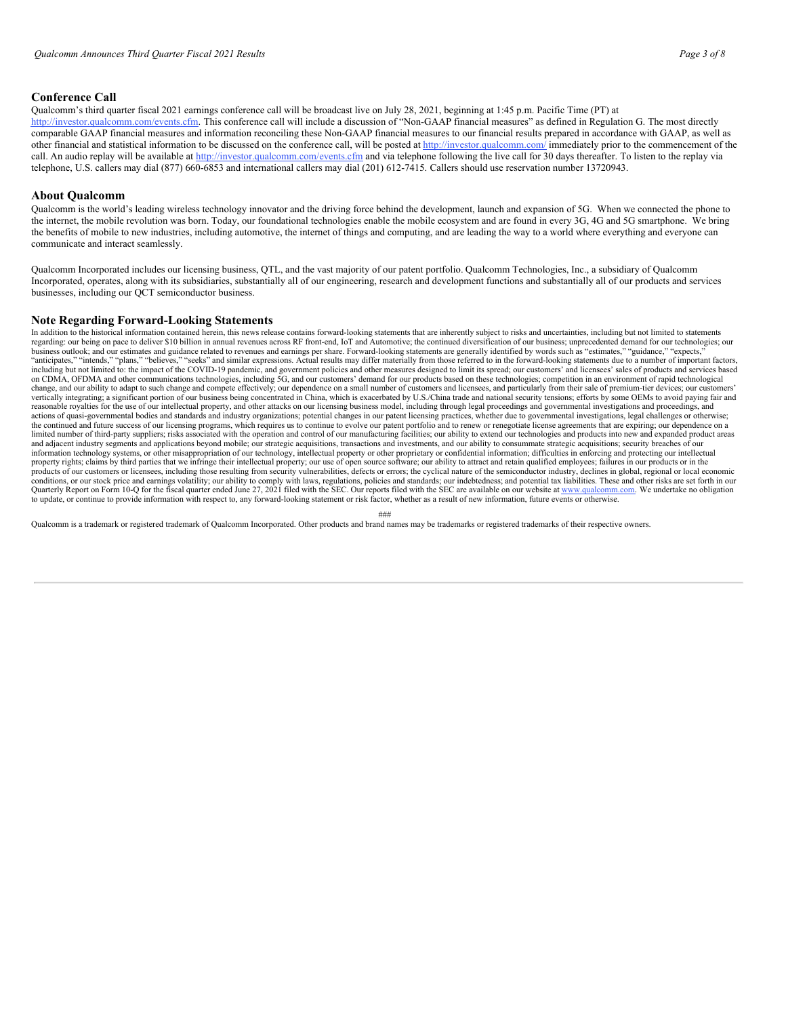# **Conference Call**

Qualcomm's third quarter fiscal 2021 earnings conference call will be broadcast live on July 28, 2021, beginning at 1:45 p.m. Pacific Time (PT) at http://investor.qualcomm.com/events.cfm. This conference call will include a discussion of "Non-GAAP financial measures" as defined in Regulation G. The most directly comparable GAAP financial measures and information reconciling these Non-GAAP financial measures to our financial results prepared in accordance with GAAP, as well as other financial and statistical information to be discussed on the conference call, will be posted at http://investor.qualcomm.com/ immediately prior to the commencement of the call. An audio replay will be available at http://investor.qualcomm.com/events.cfm and via telephone following the live call for 30 days thereafter. To listen to the replay via telephone, U.S. callers may dial (877) 660-6853 and international callers may dial (201) 612-7415. Callers should use reservation number 13720943.

#### **About Qualcomm**

Qualcomm is the world's leading wireless technology innovator and the driving force behind the development, launch and expansion of 5G. When we connected the phone to the internet, the mobile revolution was born. Today, our foundational technologies enable the mobile ecosystem and are found in every 3G, 4G and 5G smartphone. We bring the benefits of mobile to new industries, including automotive, the internet of things and computing, and are leading the way to a world where everything and everyone can communicate and interact seamlessly.

Qualcomm Incorporated includes our licensing business, QTL, and the vast majority of our patent portfolio. Qualcomm Technologies, Inc., a subsidiary of Qualcomm Incorporated, operates, along with its subsidiaries, substantially all of our engineering, research and development functions and substantially all of our products and services businesses, including our QCT semiconductor business.

#### **Note Regarding Forward-Looking Statements**

In addition to the historical information contained herein, this news release contains forward-looking statements that are inherently subject to risks and uncertainties, including but not limited to statements regarding: our being on pace to deliver \$10 billion in annual revenues across RF front-end, IoT and Automotive; the continued diversification of our business; unprecedented demand for our technologies; our business outlook; and our estimates and guidance related to revenues and earnings per share. Forward-looking statements are generally identified by words such as "estimates," "guidance," "expects,"<br>"anticipates," "intends, including but not limited to: the impact of the COVID-19 pandemic, and government policies and other measures designed to limit its spread; our customers' and licensees' sales of products and services based on CDMA, OFDMA and other communications technologies, including 5G, and our customers' demand for our products based on these technologies; competition in an environment of rapid technological change, and our ability to adapt to such change and compete effectively; our dependence on a small number of customers and licensees, and particularly from their sale of premium-tier devices; our customers' vertically integrating; a significant portion of our business being concentrated in China, which is exacerbated by U.S./China trade and national security tensions; efforts by some OEMs to avoid paying fair and reasonable royalties for the use of our intellectual property, and other attacks on our licensing business model, including through legal proceedings and governmental investigations and proceedings, and actions of quasi-governmental bodies and standards and industry organizations; potential changes in our patent licensing practices, whether due to governmental investigations, legal challenges or otherwise; the continued and future success of our licensing programs, which requires us to continue to evolve our patent portfolio and to renew or renegotiate license agreements that are expiring; our dependence on a limited number of third-party suppliers; risks associated with the operation and control of our manufacturing facilities; our ability to extend our technologies and products into new and expanded product areas and adjacent industry segments and applications beyond mobile; our strategic acquisitions, transactions and investments, and our ability to consummate strategic acquisitions; security breaches of our information technology systems, or other misappropriation of our technology, intellectual property or other proprietary or confidential information; difficulties in enforcing and protecting our intellectual property rights; claims by third parties that we infringe their intellectual property; our use of open source software; our ability to attract and retain qualified employees; failures in our products or in the products or conditions, or our stock price and earnings volatility; our ability to comply with laws, regulations, policies and standards; our indebtedness; and potential tax liabilities. These and other risks are set forth in our Quarterly Report on Form 10-Q for the fiscal quarter ended June 27, 2021 filed with the SEC. Our reports filed with the SEC are available on our website at www.qualcomm.com. We undertake no obligation<br>to update, or continu

###

Qualcomm is a trademark or registered trademark of Qualcomm Incorporated. Other products and brand names may be trademarks or registered trademarks of their respective owners.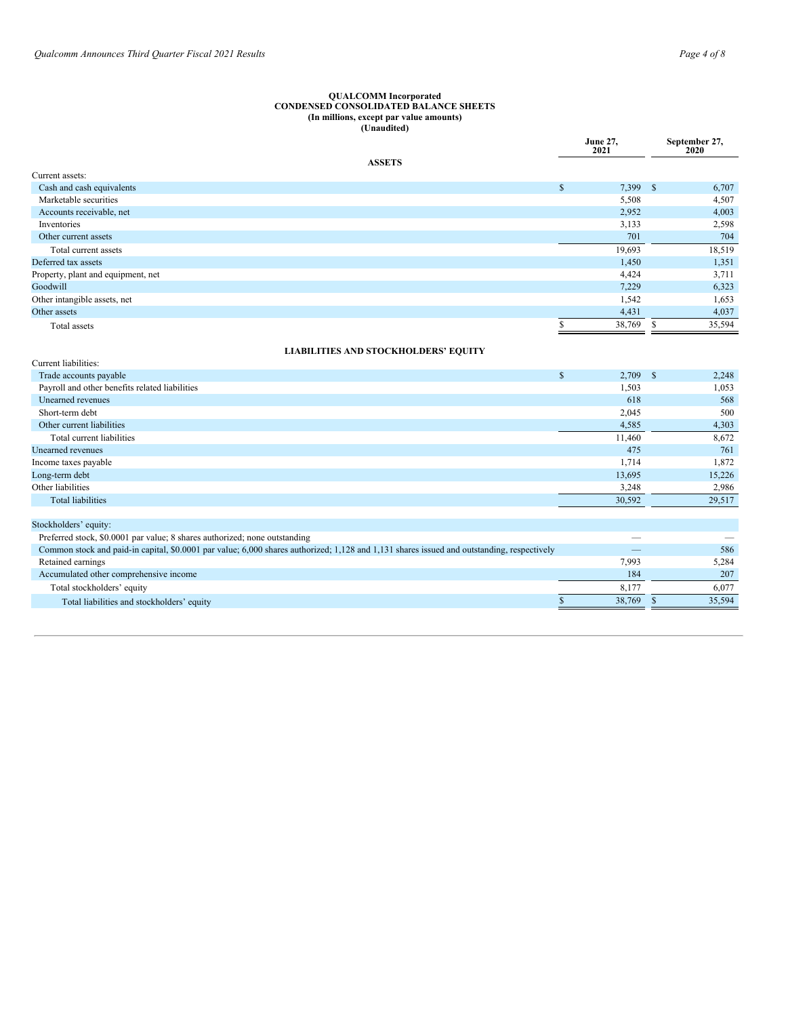#### <span id="page-7-0"></span>**QUALCOMM Incorporated CONDENSED CONSOLIDATED BALANCE SHEETS (In millions, except par value amounts) (Unaudited)**

|                                                | <b>June 27,</b><br>2021   |    | September 27,<br>2020 |
|------------------------------------------------|---------------------------|----|-----------------------|
| <b>ASSETS</b>                                  |                           |    |                       |
| Current assets:                                |                           |    |                       |
| Cash and cash equivalents                      | $\mathbb{S}$<br>7,399 \$  |    | 6,707                 |
| Marketable securities                          | 5,508                     |    | 4,507                 |
| Accounts receivable, net                       | 2,952                     |    | 4,003                 |
| Inventories                                    | 3,133                     |    | 2,598                 |
| Other current assets                           | 701                       |    | 704                   |
| Total current assets                           | 19,693                    |    | 18,519                |
| Deferred tax assets                            | 1,450                     |    | 1,351                 |
| Property, plant and equipment, net             | 4,424                     |    | 3,711                 |
| Goodwill                                       | 7,229                     |    | 6,323                 |
| Other intangible assets, net                   | 1,542                     |    | 1,653                 |
| Other assets                                   | 4,431                     |    | 4,037                 |
| Total assets                                   | 38,769<br>S               | S. | 35,594                |
| <b>LIABILITIES AND STOCKHOLDERS' EQUITY</b>    |                           |    |                       |
| Current liabilities:                           |                           |    |                       |
| Trade accounts payable                         | $\mathbb S$<br>$2,709$ \$ |    | 2,248                 |
| Payroll and other benefits related liabilities | 1,503                     |    | 1,053                 |
| Unearned revenues                              | 618                       |    | 568                   |
| Short-term debt                                | 2,045                     |    | 500                   |
| Other current liabilities                      | 4,585                     |    | 4,303                 |
| Total current liabilities                      | 11,460                    |    | 8,672                 |
| <b>Unearned</b> revenues                       | 475                       |    | 761                   |
| Income taxes payable                           | 1,714                     |    | 1,872                 |
| Long-term debt                                 | 13,695                    |    | 15,226                |
| Other liabilities                              | 3,248                     |    | 2,986                 |
| <b>Total liabilities</b>                       | 30,592                    |    | 29,517                |
|                                                |                           |    |                       |
| Stockholders' equity:                          |                           |    |                       |

| Preferred stock, \$0.0001 par value; 8 shares authorized; none outstanding                                                                 |        |        |
|--------------------------------------------------------------------------------------------------------------------------------------------|--------|--------|
| Common stock and paid-in capital, \$0,0001 par value; 6,000 shares authorized; 1,128 and 1,131 shares issued and outstanding, respectively |        | 586    |
| Retained earnings                                                                                                                          | 7.993  | 5.284  |
| Accumulated other comprehensive income                                                                                                     | 184    | 207    |
| Total stockholders' equity                                                                                                                 | 8.177  | 6.077  |
| Total liabilities and stockholders' equity                                                                                                 | 38.769 | 35.594 |
|                                                                                                                                            |        |        |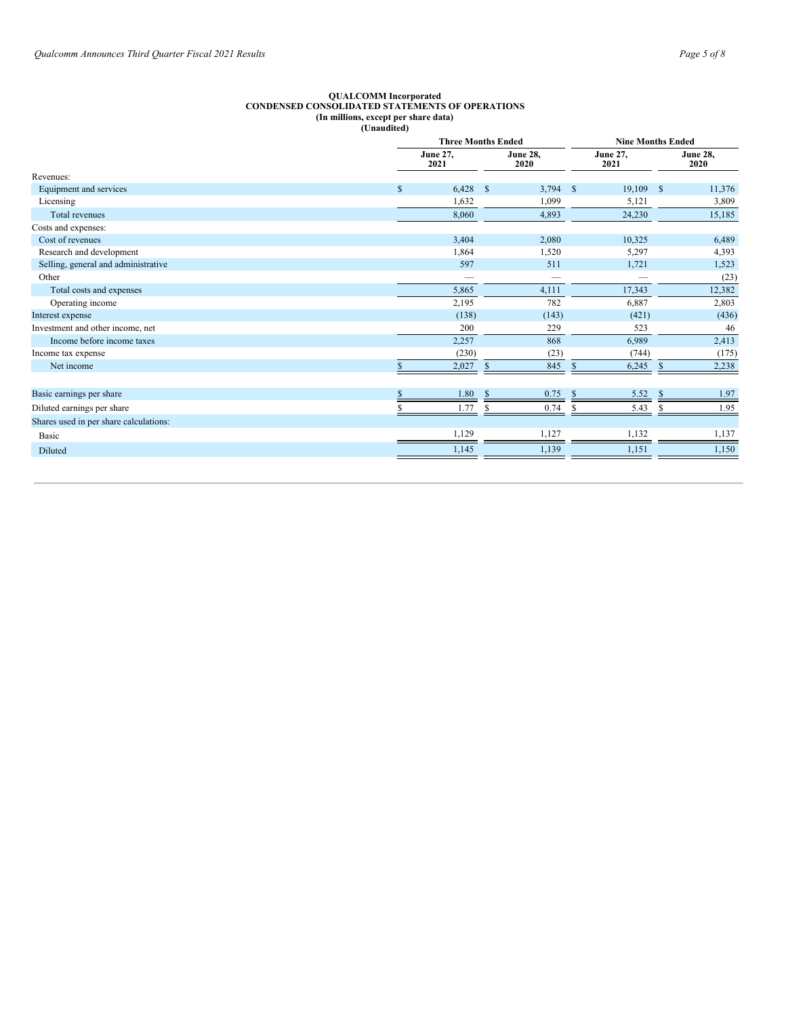#### **QUALCOMM Incorporated CONDENSED CONSOLIDATED STATEMENTS OF OPERATIONS (In millions, except per share data) (Unaudited)**

|                                        |              |                         | <b>Three Months Ended</b> |                         | <b>Nine Months Ended</b> |  |  |
|----------------------------------------|--------------|-------------------------|---------------------------|-------------------------|--------------------------|--|--|
|                                        |              | <b>June 27,</b><br>2021 | <b>June 28,</b><br>2020   | <b>June 27,</b><br>2021 | <b>June 28,</b><br>2020  |  |  |
| Revenues:                              |              |                         |                           |                         |                          |  |  |
| Equipment and services                 | $\mathbb{S}$ | 6,428                   | $\mathcal{S}$<br>3,794    | 19,109<br>$\mathcal{S}$ | <sup>\$</sup><br>11,376  |  |  |
| Licensing                              |              | 1,632                   | 1,099                     | 5,121                   | 3,809                    |  |  |
| Total revenues                         |              | 8,060                   | 4,893                     | 24,230                  | 15,185                   |  |  |
| Costs and expenses:                    |              |                         |                           |                         |                          |  |  |
| Cost of revenues                       |              | 3,404                   | 2,080                     | 10,325                  | 6,489                    |  |  |
| Research and development               |              | 1,864                   | 1,520                     | 5,297                   | 4,393                    |  |  |
| Selling, general and administrative    |              | 597                     | 511                       | 1,721                   | 1,523                    |  |  |
| Other                                  |              | --                      | $\overline{\phantom{a}}$  |                         | (23)                     |  |  |
| Total costs and expenses               |              | 5,865                   | 4,111                     | 17,343                  | 12,382                   |  |  |
| Operating income                       |              | 2,195                   | 782                       | 6,887                   | 2,803                    |  |  |
| Interest expense                       |              | (138)                   | (143)                     | (421)                   | (436)                    |  |  |
| Investment and other income, net       |              | 200                     | 229                       | 523                     | 46                       |  |  |
| Income before income taxes             |              | 2,257                   | 868                       | 6,989                   | 2,413                    |  |  |
| Income tax expense                     |              | (230)                   | (23)                      | (744)                   | (175)                    |  |  |
| Net income                             |              | 2,027                   | 845<br>-S                 | 6,245<br>-S             | 2,238<br><sup>S</sup>    |  |  |
|                                        |              |                         |                           |                         |                          |  |  |
| Basic earnings per share               |              | 1.80                    | 0.75<br>-S                | 5.52<br><sup>S</sup>    | 1.97                     |  |  |
| Diluted earnings per share             |              | 1.77                    | 0.74<br>S                 | 5.43                    | 1.95                     |  |  |
| Shares used in per share calculations: |              |                         |                           |                         |                          |  |  |
| <b>Basic</b>                           |              | 1,129                   | 1,127                     | 1,132                   | 1,137                    |  |  |
| Diluted                                |              | 1,145                   | 1,139                     | 1,151                   | 1,150                    |  |  |
|                                        |              |                         |                           |                         |                          |  |  |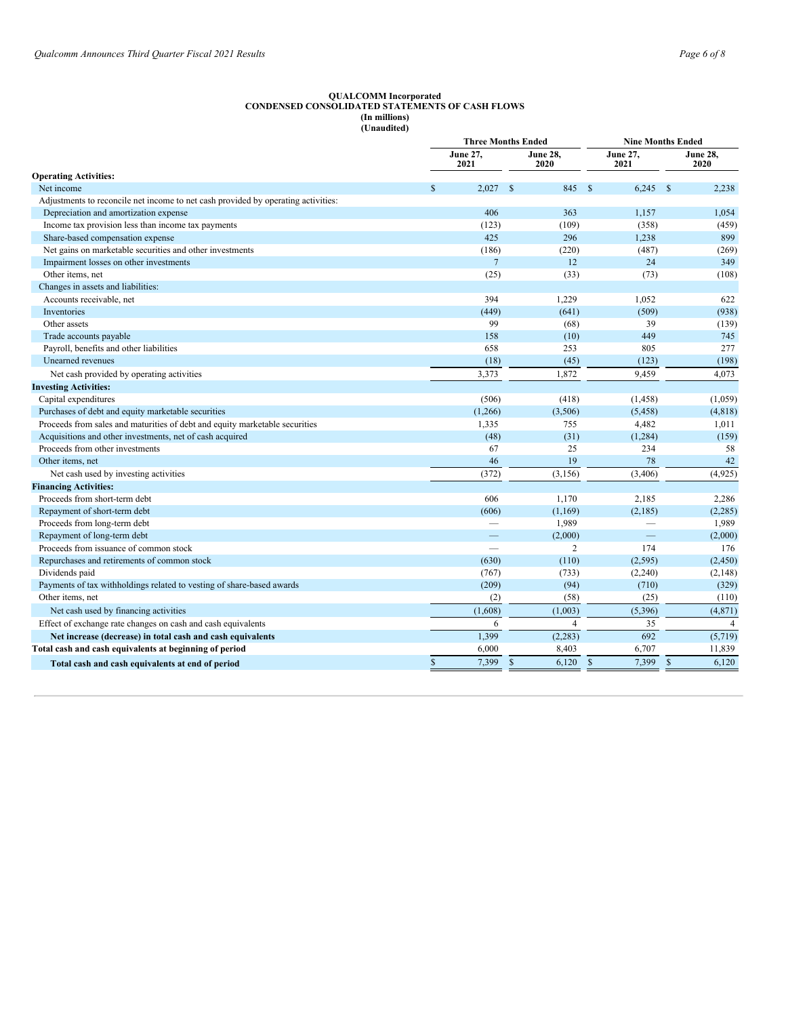#### **QUALCOMM Incorporated CONDENSED CONSOLIDATED STATEMENTS OF CASH FLOWS (In millions) (Unaudited)**

|                                                                                   | <b>Three Months Ended</b> |                          |                         | <b>Nine Months Ended</b> |                         |  |
|-----------------------------------------------------------------------------------|---------------------------|--------------------------|-------------------------|--------------------------|-------------------------|--|
|                                                                                   |                           | <b>June 27,</b><br>2021  | <b>June 28,</b><br>2020 | <b>June 27,</b><br>2021  | <b>June 28,</b><br>2020 |  |
| <b>Operating Activities:</b>                                                      |                           |                          |                         |                          |                         |  |
| Net income                                                                        | $\mathcal{S}$             | 2.027 S                  | 845                     | - \$<br>$6.245$ \$       | 2.238                   |  |
| Adjustments to reconcile net income to net cash provided by operating activities: |                           |                          |                         |                          |                         |  |
| Depreciation and amortization expense                                             |                           | 406                      | 363                     | 1,157                    | 1.054                   |  |
| Income tax provision less than income tax payments                                |                           | (123)                    | (109)                   | (358)                    | (459)                   |  |
| Share-based compensation expense                                                  |                           | 425                      | 296                     | 1,238                    | 899                     |  |
| Net gains on marketable securities and other investments                          |                           | (186)                    | (220)                   | (487)                    | (269)                   |  |
| Impairment losses on other investments                                            |                           | $\overline{7}$           | 12                      | 24                       | 349                     |  |
| Other items, net                                                                  |                           | (25)                     | (33)                    | (73)                     | (108)                   |  |
| Changes in assets and liabilities:                                                |                           |                          |                         |                          |                         |  |
| Accounts receivable, net                                                          |                           | 394                      | 1,229                   | 1,052                    | 622                     |  |
| Inventories                                                                       |                           | (449)                    | (641)                   | (509)                    | (938)                   |  |
| Other assets                                                                      |                           | 99                       | (68)                    | 39                       | (139)                   |  |
| Trade accounts payable                                                            |                           | 158                      | (10)                    | 449                      | 745                     |  |
| Payroll, benefits and other liabilities                                           |                           | 658                      | 253                     | 805                      | 277                     |  |
| Unearned revenues                                                                 |                           | (18)                     | (45)                    | (123)                    | (198)                   |  |
| Net cash provided by operating activities                                         |                           | 3,373                    | 1,872                   | 9,459                    | 4,073                   |  |
| <b>Investing Activities:</b>                                                      |                           |                          |                         |                          |                         |  |
| Capital expenditures                                                              |                           | (506)                    | (418)                   | (1, 458)                 | (1,059)                 |  |
| Purchases of debt and equity marketable securities                                |                           | (1,266)                  | (3,506)                 | (5, 458)                 | (4,818)                 |  |
| Proceeds from sales and maturities of debt and equity marketable securities       |                           | 1,335                    | 755                     | 4,482                    | 1,011                   |  |
| Acquisitions and other investments, net of cash acquired                          |                           | (48)                     | (31)                    | (1, 284)                 | (159)                   |  |
| Proceeds from other investments                                                   |                           | 67                       | 25                      | 234                      | 58                      |  |
| Other items, net                                                                  |                           | 46                       | 19                      | 78                       | 42                      |  |
| Net cash used by investing activities                                             |                           | (372)                    | (3, 156)                | (3,406)                  | (4,925)                 |  |
| <b>Financing Activities:</b>                                                      |                           |                          |                         |                          |                         |  |
| Proceeds from short-term debt                                                     |                           | 606                      | 1,170                   | 2,185                    | 2,286                   |  |
| Repayment of short-term debt                                                      |                           | (606)                    | (1, 169)                | (2,185)                  | (2, 285)                |  |
| Proceeds from long-term debt                                                      |                           | $\overline{\phantom{0}}$ | 1,989                   | $\overline{\phantom{0}}$ | 1,989                   |  |
| Repayment of long-term debt                                                       |                           |                          | (2,000)                 | $\frac{1}{2}$            | (2,000)                 |  |
| Proceeds from issuance of common stock                                            |                           | $\qquad \qquad$          | 2                       | 174                      | 176                     |  |
| Repurchases and retirements of common stock                                       |                           | (630)                    | (110)                   | (2,595)                  | (2, 450)                |  |
| Dividends paid                                                                    |                           | (767)                    | (733)                   | (2,240)                  | (2,148)                 |  |
| Payments of tax withholdings related to vesting of share-based awards             |                           | (209)                    | (94)                    | (710)                    | (329)                   |  |
| Other items, net                                                                  |                           | (2)                      | (58)                    | (25)                     | (110)                   |  |
| Net cash used by financing activities                                             |                           | (1,608)                  | (1,003)                 | (5,396)                  | (4, 871)                |  |
| Effect of exchange rate changes on cash and cash equivalents                      |                           | 6                        | $\overline{4}$          | 35                       | $\overline{4}$          |  |
| Net increase (decrease) in total cash and cash equivalents                        |                           | 1,399                    | (2, 283)                | 692                      | (5,719)                 |  |
| Total cash and cash equivalents at beginning of period                            |                           | 6,000                    | 8,403                   | 6,707                    | 11,839                  |  |
| Total cash and cash equivalents at end of period                                  | $\mathbb{S}$              | 7,399                    | $\mathcal{S}$<br>6,120  | $\mathcal{S}$<br>7,399   | $\mathbb{S}$<br>6,120   |  |
|                                                                                   |                           |                          |                         |                          |                         |  |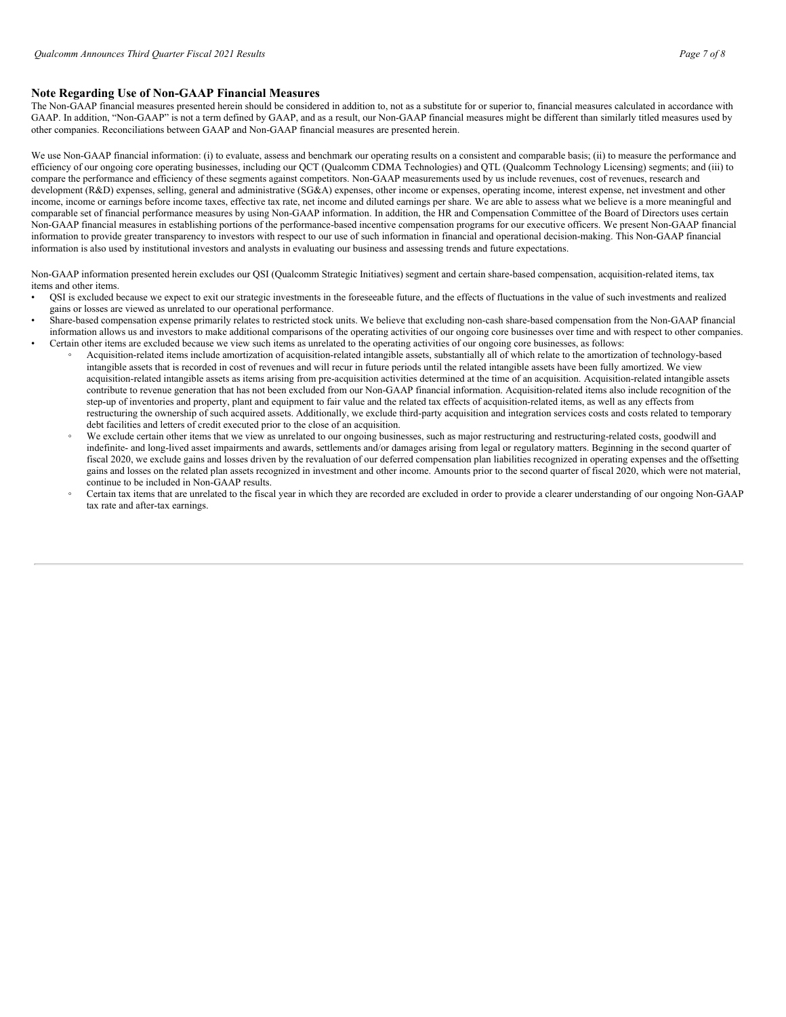## **Note Regarding Use of Non-GAAP Financial Measures**

The Non-GAAP financial measures presented herein should be considered in addition to, not as a substitute for or superior to, financial measures calculated in accordance with GAAP. In addition, "Non-GAAP" is not a term defined by GAAP, and as a result, our Non-GAAP financial measures might be different than similarly titled measures used by other companies. Reconciliations between GAAP and Non-GAAP financial measures are presented herein.

We use Non-GAAP financial information: (i) to evaluate, assess and benchmark our operating results on a consistent and comparable basis; (ii) to measure the performance and efficiency of our ongoing core operating businesses, including our QCT (Qualcomm CDMA Technologies) and QTL (Qualcomm Technology Licensing) segments; and (iii) to compare the performance and efficiency of these segments against competitors. Non-GAAP measurements used by us include revenues, cost of revenues, research and development (R&D) expenses, selling, general and administrative (SG&A) expenses, other income or expenses, operating income, interest expense, net investment and other income, income or earnings before income taxes, effective tax rate, net income and diluted earnings per share. We are able to assess what we believe is a more meaningful and comparable set of financial performance measures by using Non-GAAP information. In addition, the HR and Compensation Committee of the Board of Directors uses certain Non-GAAP financial measures in establishing portions of the performance-based incentive compensation programs for our executive officers. We present Non-GAAP financial information to provide greater transparency to investors with respect to our use of such information in financial and operational decision-making. This Non-GAAP financial information is also used by institutional investors and analysts in evaluating our business and assessing trends and future expectations.

Non-GAAP information presented herein excludes our QSI (Qualcomm Strategic Initiatives) segment and certain share-based compensation, acquisition-related items, tax items and other items.

- QSI is excluded because we expect to exit our strategic investments in the foreseeable future, and the effects of fluctuations in the value of such investments and realized gains or losses are viewed as unrelated to our operational performance.
- Share-based compensation expense primarily relates to restricted stock units. We believe that excluding non-cash share-based compensation from the Non-GAAP financial information allows us and investors to make additional comparisons of the operating activities of our ongoing core businesses over time and with respect to other companies. • Certain other items are excluded because we view such items as unrelated to the operating activities of our ongoing core businesses, as follows:
	- Acquisition-related items include amortization of acquisition-related intangible assets, substantially all of which relate to the amortization of technology-based intangible assets that is recorded in cost of revenues and will recur in future periods until the related intangible assets have been fully amortized. We view acquisition-related intangible assets as items arising from pre-acquisition activities determined at the time of an acquisition. Acquisition-related intangible assets contribute to revenue generation that has not been excluded from our Non-GAAP financial information. Acquisition-related items also include recognition of the step-up of inventories and property, plant and equipment to fair value and the related tax effects of acquisition-related items, as well as any effects from restructuring the ownership of such acquired assets. Additionally, we exclude third-party acquisition and integration services costs and costs related to temporary debt facilities and letters of credit executed prior to the close of an acquisition.
	- We exclude certain other items that we view as unrelated to our ongoing businesses, such as major restructuring and restructuring-related costs, goodwill and indefinite- and long-lived asset impairments and awards, settlements and/or damages arising from legal or regulatory matters. Beginning in the second quarter of fiscal 2020, we exclude gains and losses driven by the revaluation of our deferred compensation plan liabilities recognized in operating expenses and the offsetting gains and losses on the related plan assets recognized in investment and other income. Amounts prior to the second quarter of fiscal 2020, which were not material, continue to be included in Non-GAAP results.
	- Certain tax items that are unrelated to the fiscal year in which they are recorded are excluded in order to provide a clearer understanding of our ongoing Non-GAAP tax rate and after-tax earnings.